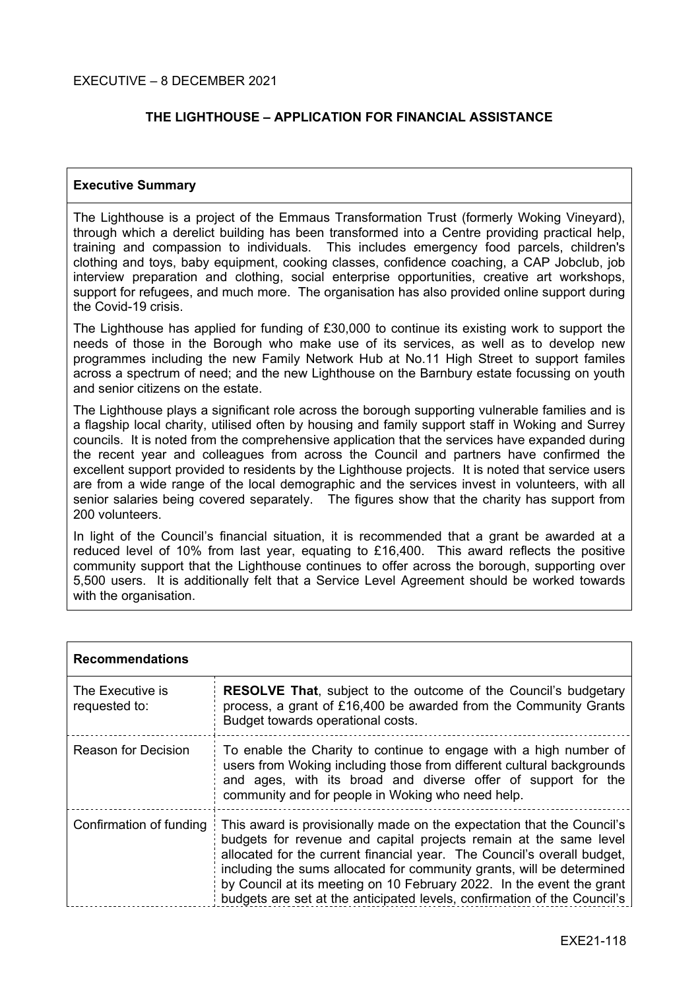## **THE LIGHTHOUSE – APPLICATION FOR FINANCIAL ASSISTANCE**

#### **Executive Summary**

The Lighthouse is a project of the Emmaus Transformation Trust (formerly Woking Vineyard), through which a derelict building has been transformed into a Centre providing practical help, training and compassion to individuals. This includes emergency food parcels, children's clothing and toys, baby equipment, cooking classes, confidence coaching, a CAP Jobclub, job interview preparation and clothing, social enterprise opportunities, creative art workshops, support for refugees, and much more. The organisation has also provided online support during the Covid-19 crisis.

The Lighthouse has applied for funding of £30,000 to continue its existing work to support the needs of those in the Borough who make use of its services, as well as to develop new programmes including the new Family Network Hub at No.11 High Street to support familes across a spectrum of need; and the new Lighthouse on the Barnbury estate focussing on youth and senior citizens on the estate.

The Lighthouse plays a significant role across the borough supporting vulnerable families and is a flagship local charity, utilised often by housing and family support staff in Woking and Surrey councils. It is noted from the comprehensive application that the services have expanded during the recent year and colleagues from across the Council and partners have confirmed the excellent support provided to residents by the Lighthouse projects. It is noted that service users are from a wide range of the local demographic and the services invest in volunteers, with all senior salaries being covered separately. The figures show that the charity has support from 200 volunteers.

In light of the Council's financial situation, it is recommended that a grant be awarded at a reduced level of 10% from last year, equating to  $£16,400$ . This award reflects the positive community support that the Lighthouse continues to offer across the borough, supporting over 5,500 users. It is additionally felt that a Service Level Agreement should be worked towards with the organisation.

| <b>Recommendations</b>            |                                                                                                                                                                                                                                                                                                                                                                                                                                                      |  |
|-----------------------------------|------------------------------------------------------------------------------------------------------------------------------------------------------------------------------------------------------------------------------------------------------------------------------------------------------------------------------------------------------------------------------------------------------------------------------------------------------|--|
| The Executive is<br>requested to: | <b>RESOLVE That, subject to the outcome of the Council's budgetary</b><br>process, a grant of £16,400 be awarded from the Community Grants<br>Budget towards operational costs.                                                                                                                                                                                                                                                                      |  |
| <b>Reason for Decision</b>        | To enable the Charity to continue to engage with a high number of<br>users from Woking including those from different cultural backgrounds<br>and ages, with its broad and diverse offer of support for the<br>community and for people in Woking who need help.                                                                                                                                                                                     |  |
| Confirmation of funding           | This award is provisionally made on the expectation that the Council's<br>budgets for revenue and capital projects remain at the same level<br>allocated for the current financial year. The Council's overall budget,<br>including the sums allocated for community grants, will be determined<br>by Council at its meeting on 10 February 2022. In the event the grant<br>budgets are set at the anticipated levels, confirmation of the Council's |  |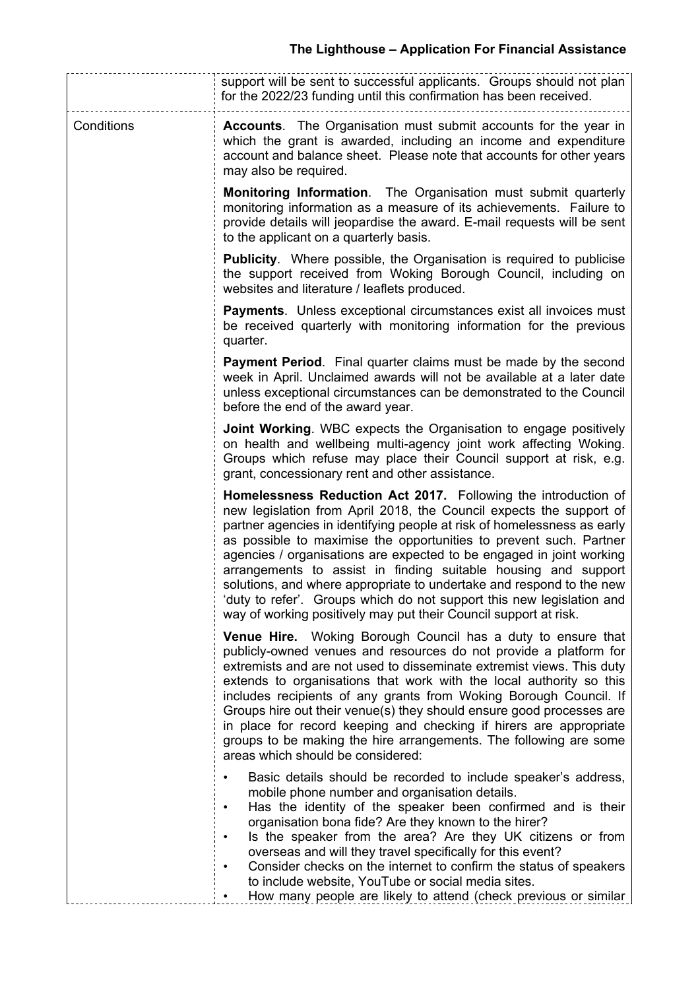|            | support will be sent to successful applicants. Groups should not plan<br>for the 2022/23 funding until this confirmation has been received.                                                                                                                                                                                                                                                                                                                                                                                                                                                                                                           |  |  |
|------------|-------------------------------------------------------------------------------------------------------------------------------------------------------------------------------------------------------------------------------------------------------------------------------------------------------------------------------------------------------------------------------------------------------------------------------------------------------------------------------------------------------------------------------------------------------------------------------------------------------------------------------------------------------|--|--|
| Conditions | <b>Accounts.</b> The Organisation must submit accounts for the year in<br>which the grant is awarded, including an income and expenditure<br>account and balance sheet. Please note that accounts for other years<br>may also be required.                                                                                                                                                                                                                                                                                                                                                                                                            |  |  |
|            | <b>Monitoring Information.</b> The Organisation must submit quarterly<br>monitoring information as a measure of its achievements. Failure to<br>provide details will jeopardise the award. E-mail requests will be sent<br>to the applicant on a quarterly basis.                                                                                                                                                                                                                                                                                                                                                                                     |  |  |
|            | <b>Publicity.</b> Where possible, the Organisation is required to publicise<br>the support received from Woking Borough Council, including on<br>websites and literature / leaflets produced.                                                                                                                                                                                                                                                                                                                                                                                                                                                         |  |  |
|            | <b>Payments.</b> Unless exceptional circumstances exist all invoices must<br>be received quarterly with monitoring information for the previous<br>quarter.                                                                                                                                                                                                                                                                                                                                                                                                                                                                                           |  |  |
|            | <b>Payment Period.</b> Final quarter claims must be made by the second<br>week in April. Unclaimed awards will not be available at a later date<br>unless exceptional circumstances can be demonstrated to the Council<br>before the end of the award year.                                                                                                                                                                                                                                                                                                                                                                                           |  |  |
|            | <b>Joint Working.</b> WBC expects the Organisation to engage positively<br>on health and wellbeing multi-agency joint work affecting Woking.<br>Groups which refuse may place their Council support at risk, e.g.<br>grant, concessionary rent and other assistance.                                                                                                                                                                                                                                                                                                                                                                                  |  |  |
|            | Homelessness Reduction Act 2017. Following the introduction of<br>new legislation from April 2018, the Council expects the support of<br>partner agencies in identifying people at risk of homelessness as early<br>as possible to maximise the opportunities to prevent such. Partner<br>agencies / organisations are expected to be engaged in joint working<br>arrangements to assist in finding suitable housing and support<br>solutions, and where appropriate to undertake and respond to the new<br>'duty to refer'. Groups which do not support this new legislation and<br>way of working positively may put their Council support at risk. |  |  |
|            | <b>Venue Hire.</b> Woking Borough Council has a duty to ensure that<br>publicly-owned venues and resources do not provide a platform for<br>extremists and are not used to disseminate extremist views. This duty<br>extends to organisations that work with the local authority so this<br>includes recipients of any grants from Woking Borough Council. If<br>Groups hire out their venue(s) they should ensure good processes are<br>in place for record keeping and checking if hirers are appropriate<br>groups to be making the hire arrangements. The following are some<br>areas which should be considered:                                 |  |  |
|            | Basic details should be recorded to include speaker's address,<br>mobile phone number and organisation details.<br>Has the identity of the speaker been confirmed and is their<br>$\bullet$<br>organisation bona fide? Are they known to the hirer?<br>Is the speaker from the area? Are they UK citizens or from<br>$\bullet$<br>overseas and will they travel specifically for this event?<br>Consider checks on the internet to confirm the status of speakers<br>$\bullet$<br>to include website, YouTube or social media sites.<br>How many people are likely to attend (check previous or similar                                               |  |  |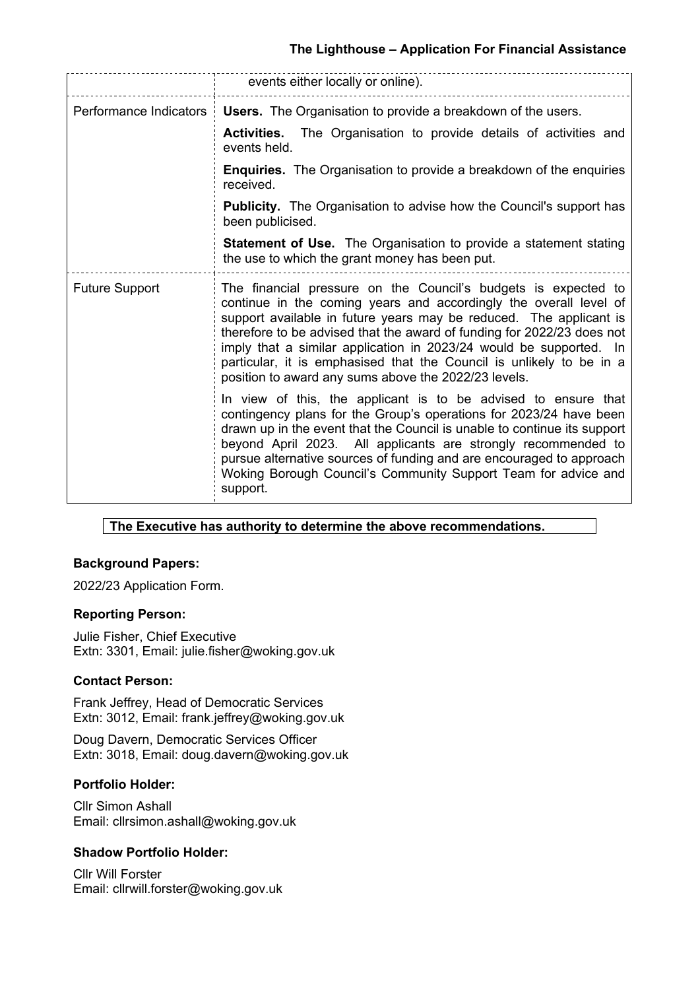## **The Lighthouse – Application For Financial Assistance**

|                        | events either locally or online).                                                                                                                                                                                                                                                                                                                                                                                                                                                         |  |  |  |
|------------------------|-------------------------------------------------------------------------------------------------------------------------------------------------------------------------------------------------------------------------------------------------------------------------------------------------------------------------------------------------------------------------------------------------------------------------------------------------------------------------------------------|--|--|--|
| Performance Indicators | <b>Users.</b> The Organisation to provide a breakdown of the users.                                                                                                                                                                                                                                                                                                                                                                                                                       |  |  |  |
|                        | <b>Activities.</b> The Organisation to provide details of activities and<br>events held.                                                                                                                                                                                                                                                                                                                                                                                                  |  |  |  |
|                        | <b>Enquiries.</b> The Organisation to provide a breakdown of the enquiries<br>received.                                                                                                                                                                                                                                                                                                                                                                                                   |  |  |  |
|                        | <b>Publicity.</b> The Organisation to advise how the Council's support has<br>been publicised.                                                                                                                                                                                                                                                                                                                                                                                            |  |  |  |
|                        | <b>Statement of Use.</b> The Organisation to provide a statement stating<br>the use to which the grant money has been put.                                                                                                                                                                                                                                                                                                                                                                |  |  |  |
| <b>Future Support</b>  | The financial pressure on the Council's budgets is expected to<br>continue in the coming years and accordingly the overall level of<br>support available in future years may be reduced. The applicant is<br>therefore to be advised that the award of funding for 2022/23 does not<br>imply that a similar application in 2023/24 would be supported. In<br>particular, it is emphasised that the Council is unlikely to be in a<br>position to award any sums above the 2022/23 levels. |  |  |  |
|                        | In view of this, the applicant is to be advised to ensure that<br>contingency plans for the Group's operations for 2023/24 have been<br>drawn up in the event that the Council is unable to continue its support<br>beyond April 2023. All applicants are strongly recommended to<br>pursue alternative sources of funding and are encouraged to approach<br>Woking Borough Council's Community Support Team for advice and<br>support.                                                   |  |  |  |

## **The Executive has authority to determine the above recommendations.**

## **Background Papers:**

2022/23 Application Form.

#### **Reporting Person:**

Julie Fisher, Chief Executive Extn: 3301, Email: julie.fisher@woking.gov.uk

#### **Contact Person:**

Frank Jeffrey, Head of Democratic Services Extn: 3012, Email: frank.jeffrey@woking.gov.uk

Doug Davern, Democratic Services Officer Extn: 3018, Email: doug.davern@woking.gov.uk

#### **Portfolio Holder:**

Cllr Simon Ashall Email: cllrsimon.ashall@woking.gov.uk

## **Shadow Portfolio Holder:**

Cllr Will Forster Email: cllrwill.forster@woking.gov.uk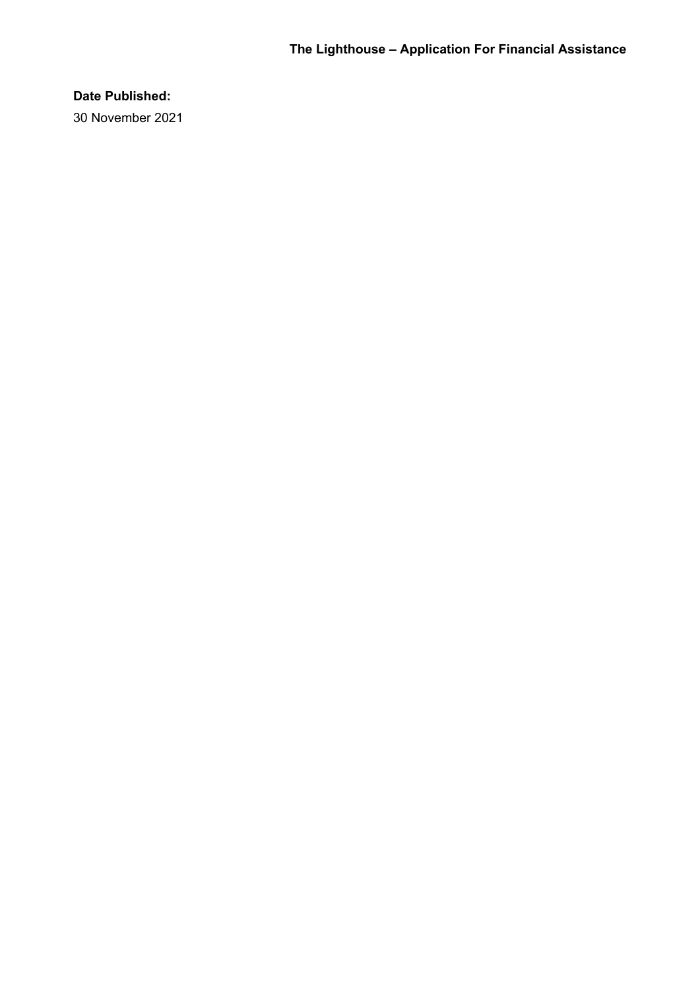## **Date Published:**

30 November 2021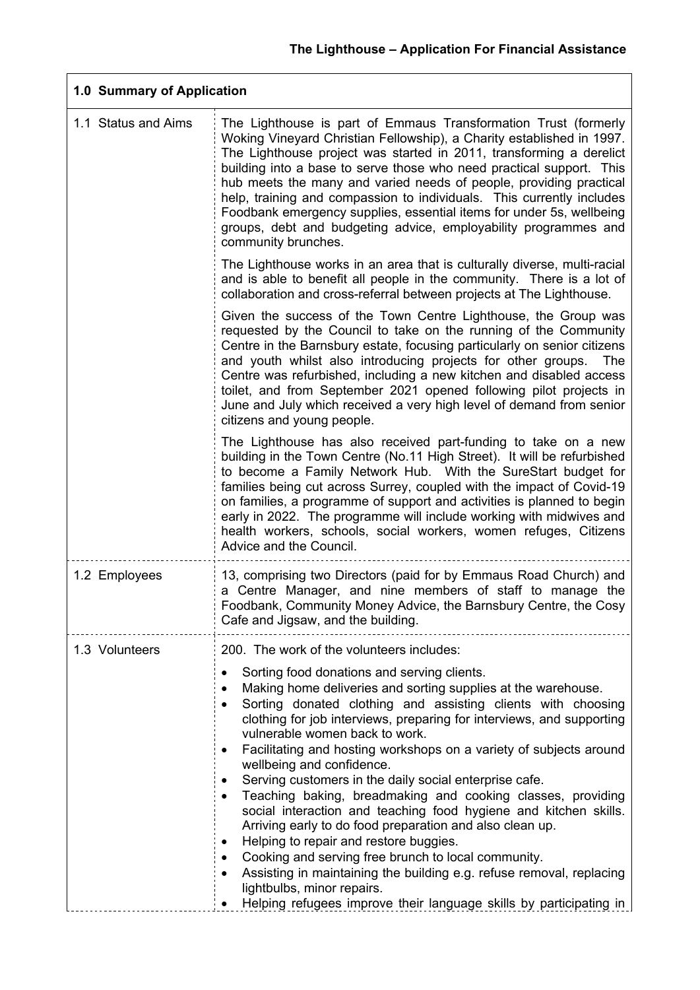| 1.0 Summary of Application |                                                                                                                                                                                                                                                                                                                                                                                                                                                                                                                                                                                                                                                                                                                                                                                                                                                                                                                                                    |  |
|----------------------------|----------------------------------------------------------------------------------------------------------------------------------------------------------------------------------------------------------------------------------------------------------------------------------------------------------------------------------------------------------------------------------------------------------------------------------------------------------------------------------------------------------------------------------------------------------------------------------------------------------------------------------------------------------------------------------------------------------------------------------------------------------------------------------------------------------------------------------------------------------------------------------------------------------------------------------------------------|--|
| 1.1 Status and Aims        | The Lighthouse is part of Emmaus Transformation Trust (formerly<br>Woking Vineyard Christian Fellowship), a Charity established in 1997.<br>The Lighthouse project was started in 2011, transforming a derelict<br>building into a base to serve those who need practical support. This<br>hub meets the many and varied needs of people, providing practical<br>help, training and compassion to individuals. This currently includes<br>Foodbank emergency supplies, essential items for under 5s, wellbeing<br>groups, debt and budgeting advice, employability programmes and<br>community brunches.                                                                                                                                                                                                                                                                                                                                           |  |
|                            | The Lighthouse works in an area that is culturally diverse, multi-racial<br>and is able to benefit all people in the community. There is a lot of<br>collaboration and cross-referral between projects at The Lighthouse.                                                                                                                                                                                                                                                                                                                                                                                                                                                                                                                                                                                                                                                                                                                          |  |
|                            | Given the success of the Town Centre Lighthouse, the Group was<br>requested by the Council to take on the running of the Community<br>Centre in the Barnsbury estate, focusing particularly on senior citizens<br>and youth whilst also introducing projects for other groups.<br>The<br>Centre was refurbished, including a new kitchen and disabled access<br>toilet, and from September 2021 opened following pilot projects in<br>June and July which received a very high level of demand from senior<br>citizens and young people.                                                                                                                                                                                                                                                                                                                                                                                                           |  |
|                            | The Lighthouse has also received part-funding to take on a new<br>building in the Town Centre (No.11 High Street). It will be refurbished<br>to become a Family Network Hub. With the SureStart budget for<br>families being cut across Surrey, coupled with the impact of Covid-19<br>on families, a programme of support and activities is planned to begin<br>early in 2022. The programme will include working with midwives and<br>health workers, schools, social workers, women refuges, Citizens<br>Advice and the Council.                                                                                                                                                                                                                                                                                                                                                                                                                |  |
| 1.2 Employees              | 13, comprising two Directors (paid for by Emmaus Road Church) and<br>a Centre Manager, and nine members of staff to manage the<br>Foodbank, Community Money Advice, the Barnsbury Centre, the Cosy<br>Cafe and Jigsaw, and the building.                                                                                                                                                                                                                                                                                                                                                                                                                                                                                                                                                                                                                                                                                                           |  |
| 1.3 Volunteers             | 200. The work of the volunteers includes:                                                                                                                                                                                                                                                                                                                                                                                                                                                                                                                                                                                                                                                                                                                                                                                                                                                                                                          |  |
|                            | Sorting food donations and serving clients.<br>$\bullet$<br>Making home deliveries and sorting supplies at the warehouse.<br>Sorting donated clothing and assisting clients with choosing<br>clothing for job interviews, preparing for interviews, and supporting<br>vulnerable women back to work.<br>Facilitating and hosting workshops on a variety of subjects around<br>wellbeing and confidence.<br>Serving customers in the daily social enterprise cafe.<br>Teaching baking, breadmaking and cooking classes, providing<br>social interaction and teaching food hygiene and kitchen skills.<br>Arriving early to do food preparation and also clean up.<br>Helping to repair and restore buggies.<br>٠<br>Cooking and serving free brunch to local community.<br>Assisting in maintaining the building e.g. refuse removal, replacing<br>lightbulbs, minor repairs.<br>Helping refugees improve their language skills by participating in |  |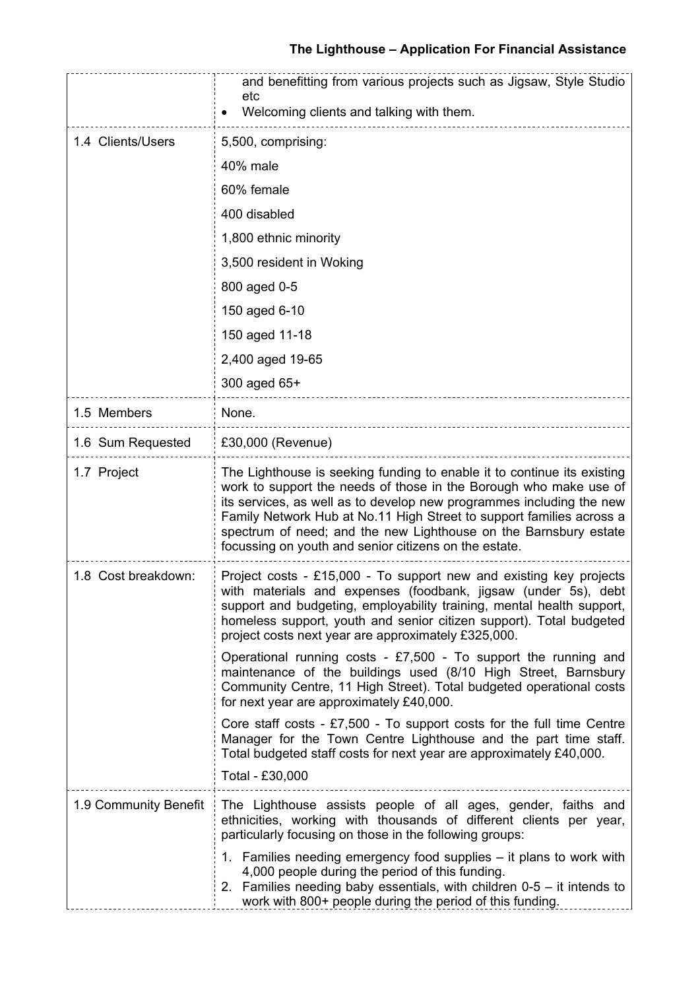|                       | and benefitting from various projects such as Jigsaw, Style Studio<br>etc<br>Welcoming clients and talking with them.                                                                                                                                                                                                                                                                                                     |
|-----------------------|---------------------------------------------------------------------------------------------------------------------------------------------------------------------------------------------------------------------------------------------------------------------------------------------------------------------------------------------------------------------------------------------------------------------------|
| 1.4 Clients/Users     | 5,500, comprising:                                                                                                                                                                                                                                                                                                                                                                                                        |
|                       | 40% male                                                                                                                                                                                                                                                                                                                                                                                                                  |
|                       | 60% female                                                                                                                                                                                                                                                                                                                                                                                                                |
|                       | 400 disabled                                                                                                                                                                                                                                                                                                                                                                                                              |
|                       | 1,800 ethnic minority                                                                                                                                                                                                                                                                                                                                                                                                     |
|                       | 3,500 resident in Woking                                                                                                                                                                                                                                                                                                                                                                                                  |
|                       | 800 aged 0-5                                                                                                                                                                                                                                                                                                                                                                                                              |
|                       | 150 aged 6-10                                                                                                                                                                                                                                                                                                                                                                                                             |
|                       | 150 aged 11-18                                                                                                                                                                                                                                                                                                                                                                                                            |
|                       | 2,400 aged 19-65                                                                                                                                                                                                                                                                                                                                                                                                          |
|                       | 300 aged 65+                                                                                                                                                                                                                                                                                                                                                                                                              |
| 1.5 Members           | None.                                                                                                                                                                                                                                                                                                                                                                                                                     |
| 1.6 Sum Requested     | £30,000 (Revenue)                                                                                                                                                                                                                                                                                                                                                                                                         |
| 1.7 Project           | The Lighthouse is seeking funding to enable it to continue its existing<br>work to support the needs of those in the Borough who make use of<br>its services, as well as to develop new programmes including the new<br>Family Network Hub at No.11 High Street to support families across a<br>spectrum of need; and the new Lighthouse on the Barnsbury estate<br>focussing on youth and senior citizens on the estate. |
| 1.8 Cost breakdown:   | Project costs - £15,000 - To support new and existing key projects<br>with materials and expenses (foodbank, jigsaw (under 5s), debt<br>support and budgeting, employability training, mental health support,<br>homeless support, youth and senior citizen support). Total budgeted<br>project costs next year are approximately £325,000.                                                                               |
|                       | Operational running costs - £7,500 - To support the running and<br>maintenance of the buildings used (8/10 High Street, Barnsbury<br>Community Centre, 11 High Street). Total budgeted operational costs<br>for next year are approximately £40,000.                                                                                                                                                                      |
|                       | Core staff costs $-$ £7,500 $-$ To support costs for the full time Centre<br>Manager for the Town Centre Lighthouse and the part time staff.<br>Total budgeted staff costs for next year are approximately £40,000.                                                                                                                                                                                                       |
|                       | Total - £30,000                                                                                                                                                                                                                                                                                                                                                                                                           |
| 1.9 Community Benefit | The Lighthouse assists people of all ages, gender, faiths and<br>ethnicities, working with thousands of different clients per year,<br>particularly focusing on those in the following groups:                                                                                                                                                                                                                            |
|                       | 1. Families needing emergency food supplies - it plans to work with<br>4,000 people during the period of this funding.<br>2. Families needing baby essentials, with children $0-5 - i$ t intends to<br>work with 800+ people during the period of this funding.                                                                                                                                                           |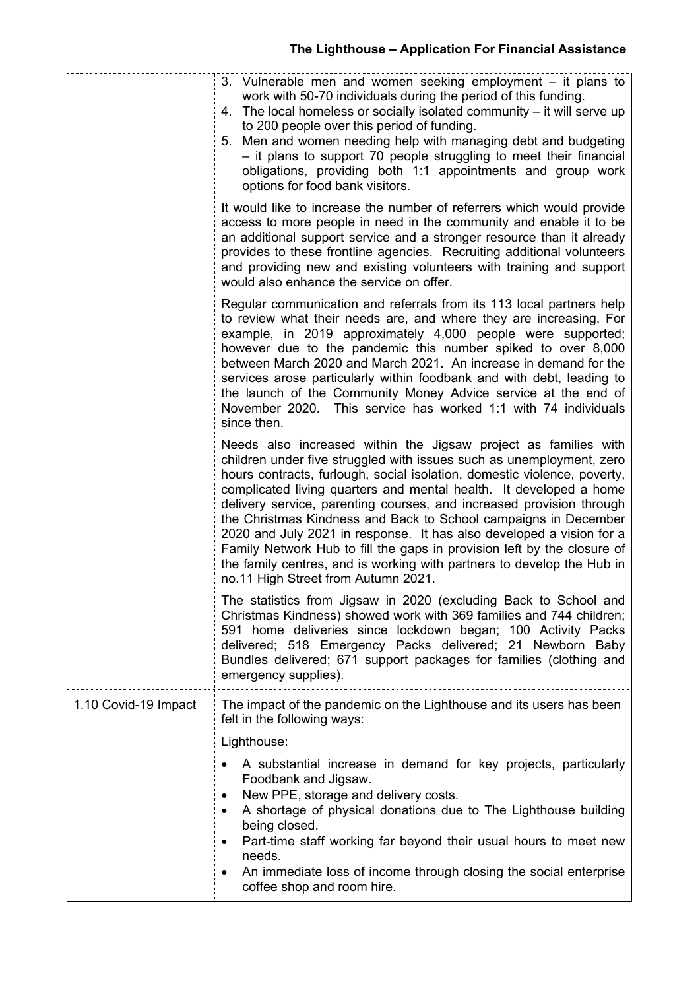|                      | 3. Vulnerable men and women seeking employment – it plans to<br>work with 50-70 individuals during the period of this funding.<br>4. The local homeless or socially isolated community – it will serve up<br>to 200 people over this period of funding.<br>5. Men and women needing help with managing debt and budgeting<br>- it plans to support 70 people struggling to meet their financial<br>obligations, providing both 1:1 appointments and group work<br>options for food bank visitors.                                                                                                                                                                                                        |
|----------------------|----------------------------------------------------------------------------------------------------------------------------------------------------------------------------------------------------------------------------------------------------------------------------------------------------------------------------------------------------------------------------------------------------------------------------------------------------------------------------------------------------------------------------------------------------------------------------------------------------------------------------------------------------------------------------------------------------------|
|                      | It would like to increase the number of referrers which would provide<br>access to more people in need in the community and enable it to be<br>an additional support service and a stronger resource than it already<br>provides to these frontline agencies. Recruiting additional volunteers<br>and providing new and existing volunteers with training and support<br>would also enhance the service on offer.                                                                                                                                                                                                                                                                                        |
|                      | Regular communication and referrals from its 113 local partners help<br>to review what their needs are, and where they are increasing. For<br>example, in 2019 approximately 4,000 people were supported;<br>however due to the pandemic this number spiked to over 8,000<br>between March 2020 and March 2021. An increase in demand for the<br>services arose particularly within foodbank and with debt, leading to<br>the launch of the Community Money Advice service at the end of<br>November 2020. This service has worked 1:1 with 74 individuals<br>since then.                                                                                                                                |
|                      | Needs also increased within the Jigsaw project as families with<br>children under five struggled with issues such as unemployment, zero<br>hours contracts, furlough, social isolation, domestic violence, poverty,<br>complicated living quarters and mental health. It developed a home<br>delivery service, parenting courses, and increased provision through<br>the Christmas Kindness and Back to School campaigns in December<br>2020 and July 2021 in response. It has also developed a vision for a<br>Family Network Hub to fill the gaps in provision left by the closure of<br>the family centres, and is working with partners to develop the Hub in<br>no.11 High Street from Autumn 2021. |
|                      | The statistics from Jigsaw in 2020 (excluding Back to School and<br>Christmas Kindness) showed work with 369 families and 744 children;<br>591 home deliveries since lockdown began; 100 Activity Packs<br>delivered; 518 Emergency Packs delivered; 21 Newborn Baby<br>Bundles delivered; 671 support packages for families (clothing and<br>emergency supplies).                                                                                                                                                                                                                                                                                                                                       |
| 1.10 Covid-19 Impact | The impact of the pandemic on the Lighthouse and its users has been<br>felt in the following ways:                                                                                                                                                                                                                                                                                                                                                                                                                                                                                                                                                                                                       |
|                      | Lighthouse:                                                                                                                                                                                                                                                                                                                                                                                                                                                                                                                                                                                                                                                                                              |
|                      | A substantial increase in demand for key projects, particularly<br>Foodbank and Jigsaw.<br>New PPE, storage and delivery costs.<br>A shortage of physical donations due to The Lighthouse building<br>٠<br>being closed.<br>Part-time staff working far beyond their usual hours to meet new<br>needs.<br>An immediate loss of income through closing the social enterprise                                                                                                                                                                                                                                                                                                                              |
|                      | coffee shop and room hire.                                                                                                                                                                                                                                                                                                                                                                                                                                                                                                                                                                                                                                                                               |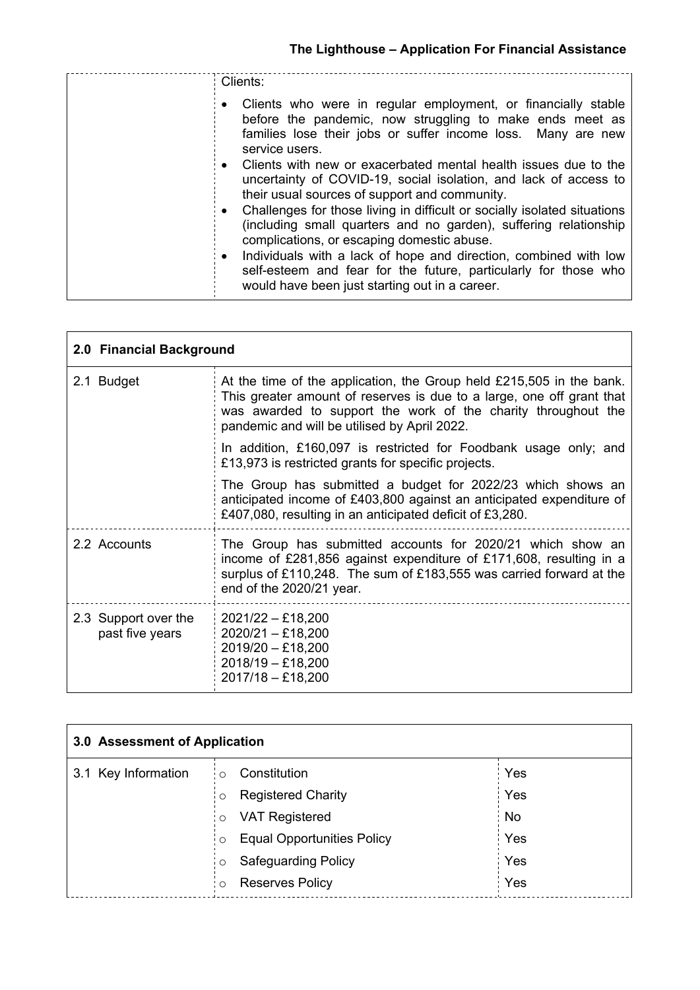| Clients:                                                                                                                                                                                                                                                                                                                                                                                                                                                                                                                                                                                                                                                                                                                                                                                   |
|--------------------------------------------------------------------------------------------------------------------------------------------------------------------------------------------------------------------------------------------------------------------------------------------------------------------------------------------------------------------------------------------------------------------------------------------------------------------------------------------------------------------------------------------------------------------------------------------------------------------------------------------------------------------------------------------------------------------------------------------------------------------------------------------|
| Clients who were in regular employment, or financially stable<br>before the pandemic, now struggling to make ends meet as<br>families lose their jobs or suffer income loss. Many are new<br>service users.<br>Clients with new or exacerbated mental health issues due to the<br>uncertainty of COVID-19, social isolation, and lack of access to<br>their usual sources of support and community.<br>Challenges for those living in difficult or socially isolated situations<br>(including small quarters and no garden), suffering relationship<br>complications, or escaping domestic abuse.<br>Individuals with a lack of hope and direction, combined with low<br>self-esteem and fear for the future, particularly for those who<br>would have been just starting out in a career. |
|                                                                                                                                                                                                                                                                                                                                                                                                                                                                                                                                                                                                                                                                                                                                                                                            |

|                                         | 2.0 Financial Background                                                                                                                                                                                                                                       |  |  |
|-----------------------------------------|----------------------------------------------------------------------------------------------------------------------------------------------------------------------------------------------------------------------------------------------------------------|--|--|
| 2.1 Budget                              | At the time of the application, the Group held £215,505 in the bank.<br>This greater amount of reserves is due to a large, one off grant that<br>was awarded to support the work of the charity throughout the<br>pandemic and will be utilised by April 2022. |  |  |
|                                         | In addition, £160,097 is restricted for Foodbank usage only; and<br>£13,973 is restricted grants for specific projects.                                                                                                                                        |  |  |
|                                         | The Group has submitted a budget for 2022/23 which shows an<br>anticipated income of £403,800 against an anticipated expenditure of<br>£407,080, resulting in an anticipated deficit of £3,280.                                                                |  |  |
| 2.2 Accounts                            | The Group has submitted accounts for 2020/21 which show an<br>income of £281,856 against expenditure of £171,608, resulting in a<br>surplus of £110,248. The sum of £183,555 was carried forward at the<br>end of the 2020/21 year.                            |  |  |
| 2.3 Support over the<br>past five years | $2021/22 - £18,200$<br>$2020/21 - £18,200$<br>$2019/20 - £18,200$<br>$2018/19 - £18,200$<br>$2017/18 - £18,200$                                                                                                                                                |  |  |

| 3.0 Assessment of Application |                                              |      |
|-------------------------------|----------------------------------------------|------|
| 3.1 Key Information           | Constitution<br>$\circ$                      | Yes  |
|                               | <b>Registered Charity</b><br>$\circ$         | Yes  |
|                               | <b>VAT Registered</b><br>$\circ$             | : No |
|                               | <b>Equal Opportunities Policy</b><br>$\circ$ | Yes  |
|                               | <b>Safeguarding Policy</b><br>O              | Yes  |
|                               | <b>Reserves Policy</b><br>$\circ$            | Yes  |